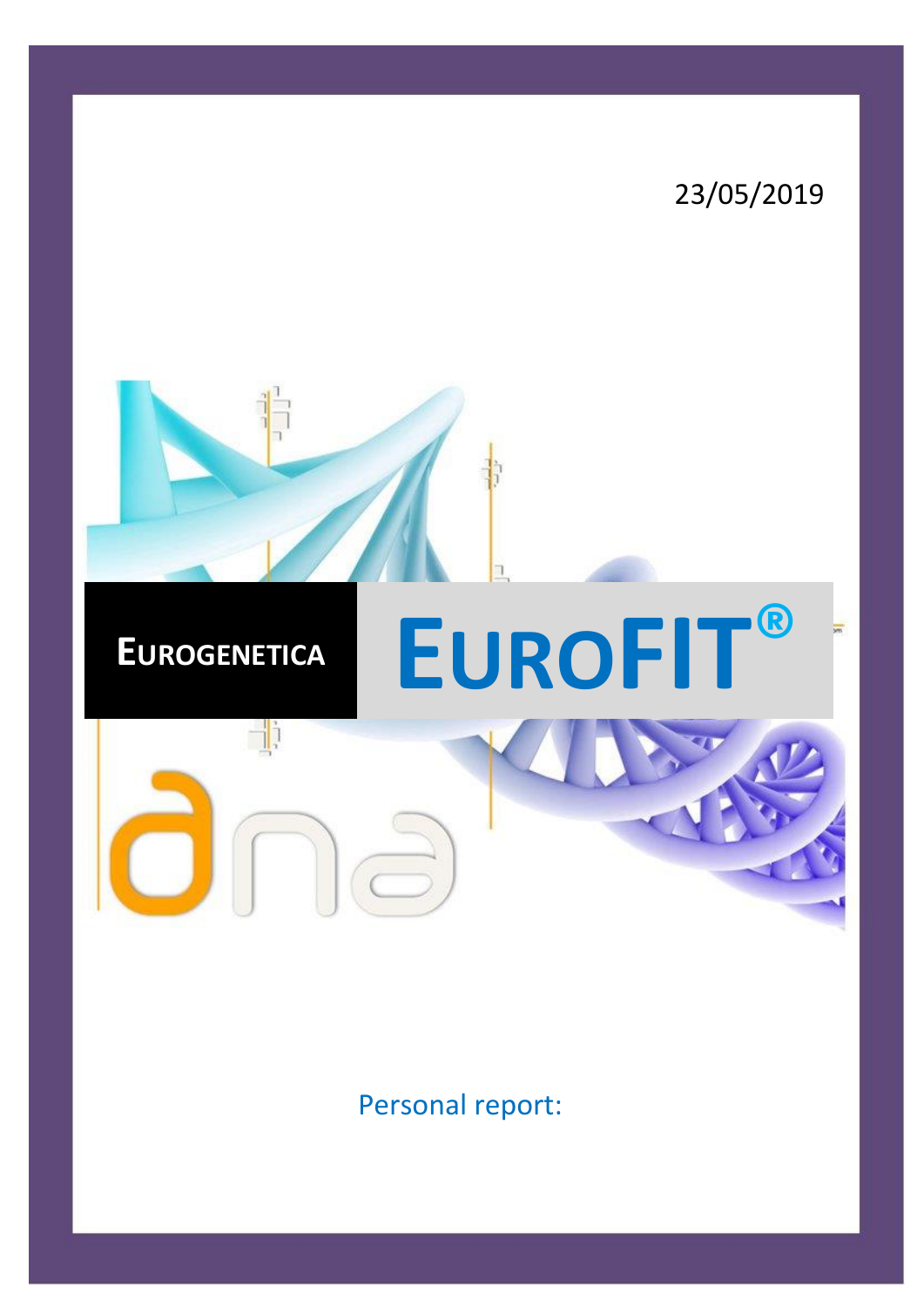# 23/05/2019 h, **<sup>E</sup>UROGENETICA EUROFIT®** d:

Personal report: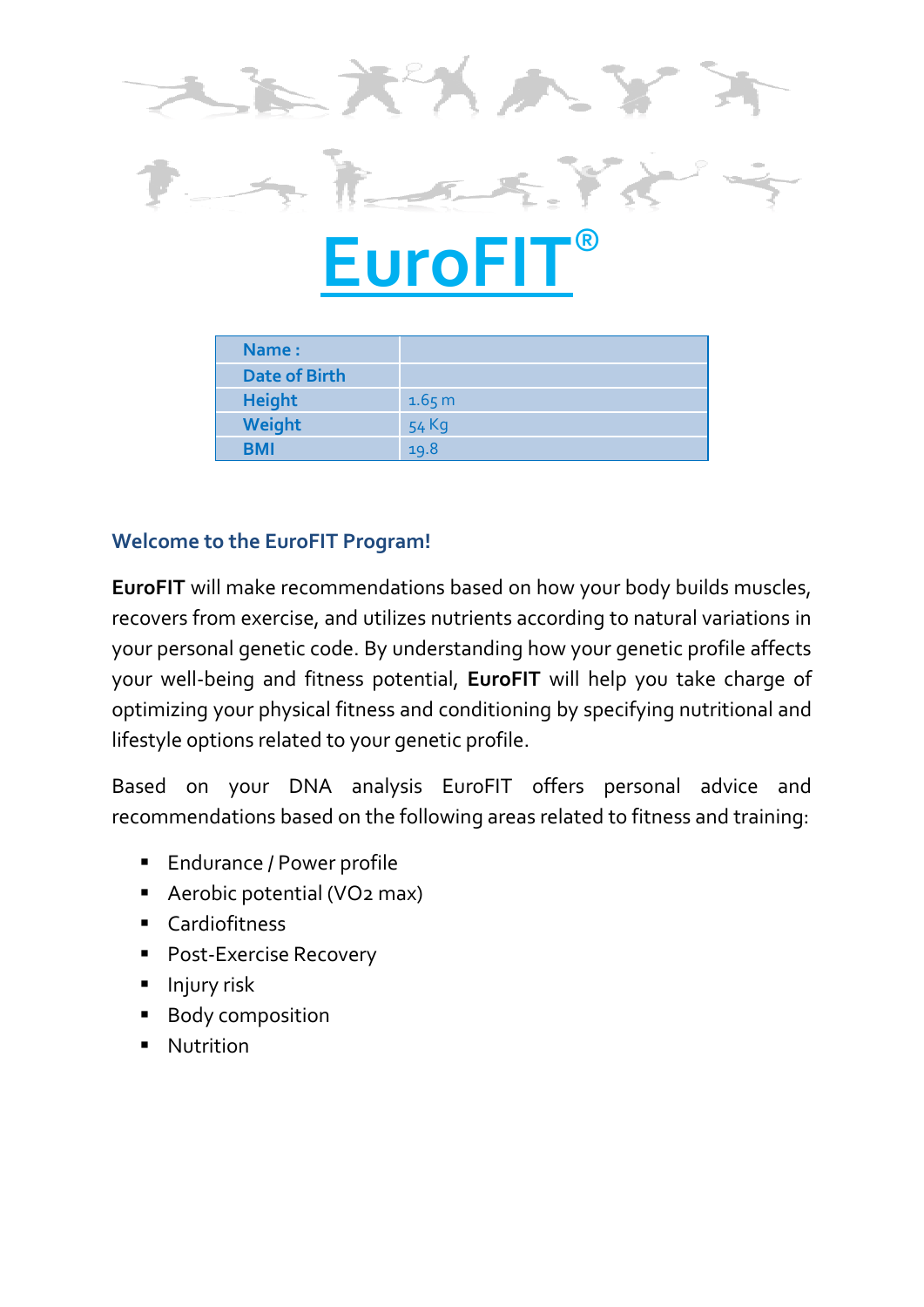

| Name:                |        |
|----------------------|--------|
| <b>Date of Birth</b> |        |
| <b>Height</b>        | 1.65 m |
| Weight               | 54 Kg  |
| BMI                  | 19.8   |

# **Welcome to the EuroFIT Program!**

**EuroFIT** will make recommendations based on how your body builds muscles, recovers from exercise, and utilizes nutrients according to natural variations in your personal genetic code. By understanding how your genetic profile affects your well-being and fitness potential, **EuroFIT** will help you take charge of optimizing your physical fitness and conditioning by specifying nutritional and lifestyle options related to your genetic profile.

Based on your DNA analysis EuroFIT offers personal advice and recommendations based on the following areas related to fitness and training:

- Endurance / Power profile
- Aerobic potential (VO<sub>2</sub> max)
- Cardiofitness
- Post-Exercise Recovery
- **·** Injury risk
- **Body composition**
- **Nutrition**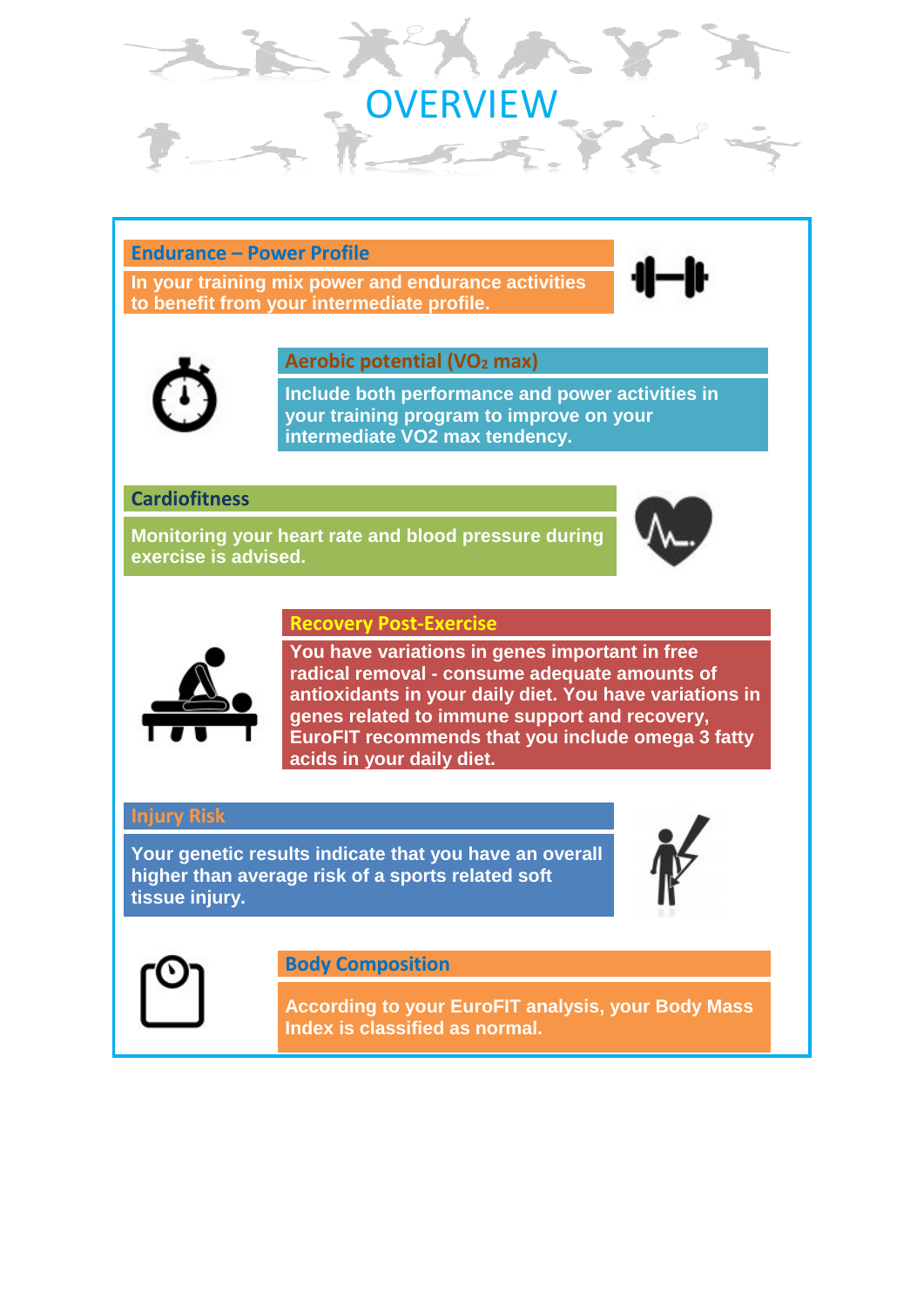# ERVIEW

## **Endurance – Power Profile**

**In your training mix power and endurance activities to benefit from your intermediate profile.**





#### **Aerobic potential (VO<sup>2</sup> max)**

**Include both performance and power activities in your training program to improve on your intermediate VO2 max tendency.**

#### **Cardiofitness**

**Monitoring your heart rate and blood pressure during exercise is advised.**



#### **Recovery Post-Exercise**



**You have variations in genes important in free radical removal - consume adequate amounts of antioxidants in your daily diet. You have variations in genes related to immune support and recovery, EuroFIT recommends that you include omega 3 fatty acids in your daily diet.**

## **Injury Risk**

**Your genetic results indicate that you have an overall higher than average risk of a sports related soft tissue injury.**





**Body Composition**

**According to your EuroFIT analysis, your Body Mass Index is classified as normal.**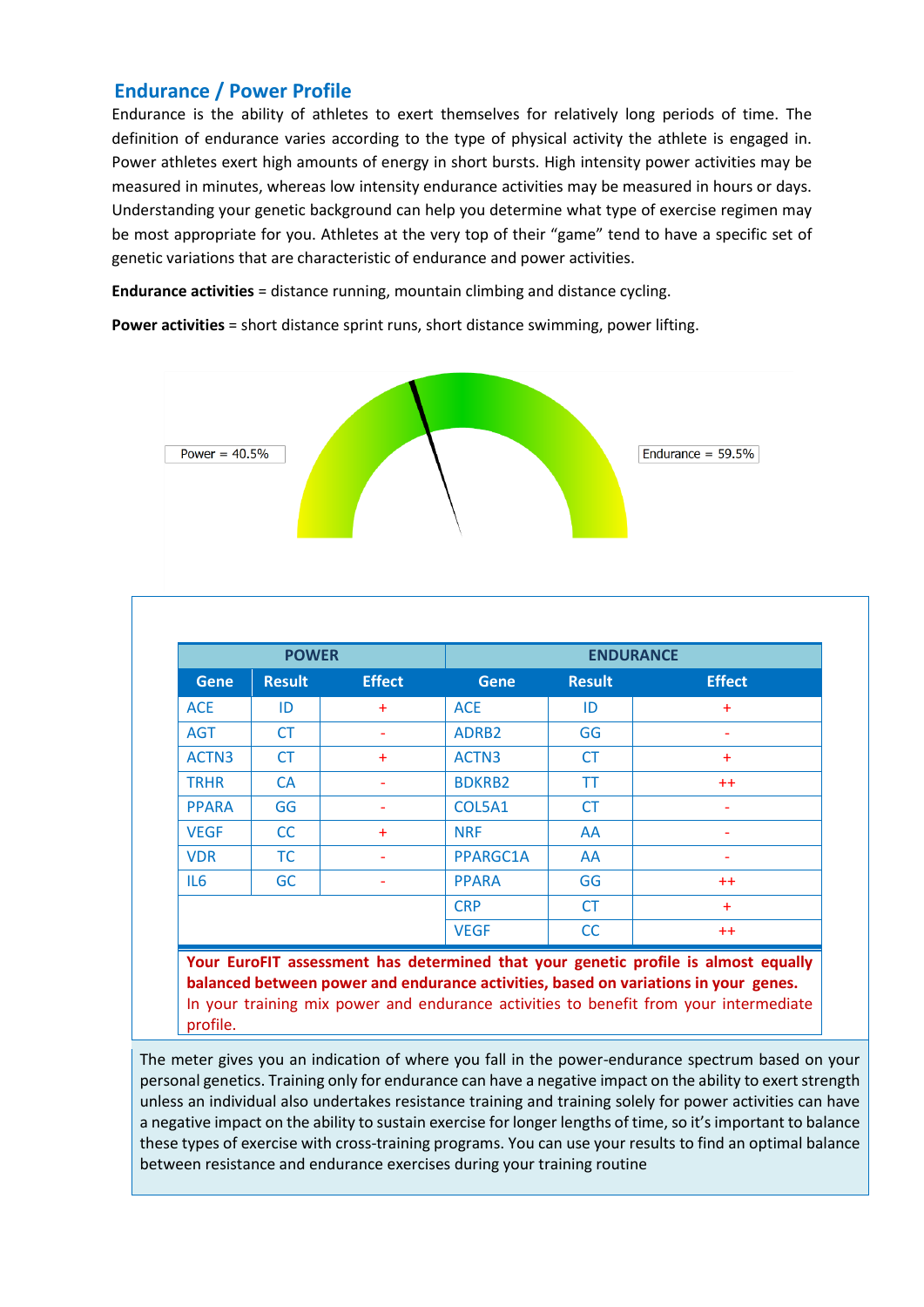# **Endurance / Power Profile**

Endurance is the ability of athletes to exert themselves for relatively long periods of time. The definition of endurance varies according to the type of physical activity the athlete is engaged in. Power athletes exert high amounts of energy in short bursts. High intensity power activities may be measured in minutes, whereas low intensity endurance activities may be measured in hours or days. Understanding your genetic background can help you determine what type of exercise regimen may be most appropriate for you. Athletes at the very top of their "game" tend to have a specific set of genetic variations that are characteristic of endurance and power activities.

**Endurance activities** = distance running, mountain climbing and distance cycling.

**Power activities** = short distance sprint runs, short distance swimming, power lifting.



| <b>Gene</b>  | <b>Result</b> | <b>Effect</b> | <b>Gene</b>       | <b>Result</b> | <b>Effect</b> |
|--------------|---------------|---------------|-------------------|---------------|---------------|
| <b>ACE</b>   | ID            | ÷             | <b>ACE</b>        | ID            | $\ddot{}$     |
| <b>AGT</b>   | <b>CT</b>     |               | ADRB <sub>2</sub> | GG            |               |
| ACTN3        | СT            | ÷             | ACTN3             | <b>CT</b>     | $+$           |
| <b>TRHR</b>  | <b>CA</b>     |               | <b>BDKRB2</b>     | ΤT            | $++$          |
| <b>PPARA</b> | GG            |               | COL5A1            | <b>CT</b>     |               |
| <b>VEGF</b>  | <b>CC</b>     | ÷             | <b>NRF</b>        | AA            |               |
| <b>VDR</b>   | TC            |               | PPARGC1A          | AA            |               |
| IL6          | <b>GC</b>     |               | <b>PPARA</b>      | GG            | $++$          |
|              |               |               | <b>CRP</b>        | <b>CT</b>     | $+$           |
|              |               |               | <b>VEGF</b>       | CC            | $++$          |

In your training mix power and endurance activities to benefit from your intermediate profile.

The meter gives you an indication of where you fall in the power-endurance spectrum based on your personal genetics. Training only for endurance can have a negative impact on the ability to exert strength unless an individual also undertakes resistance training and training solely for power activities can have a negative impact on the ability to sustain exercise for longer lengths of time, so it's important to balance these types of exercise with cross-training programs. You can use your results to find an optimal balance between resistance and endurance exercises during your training routine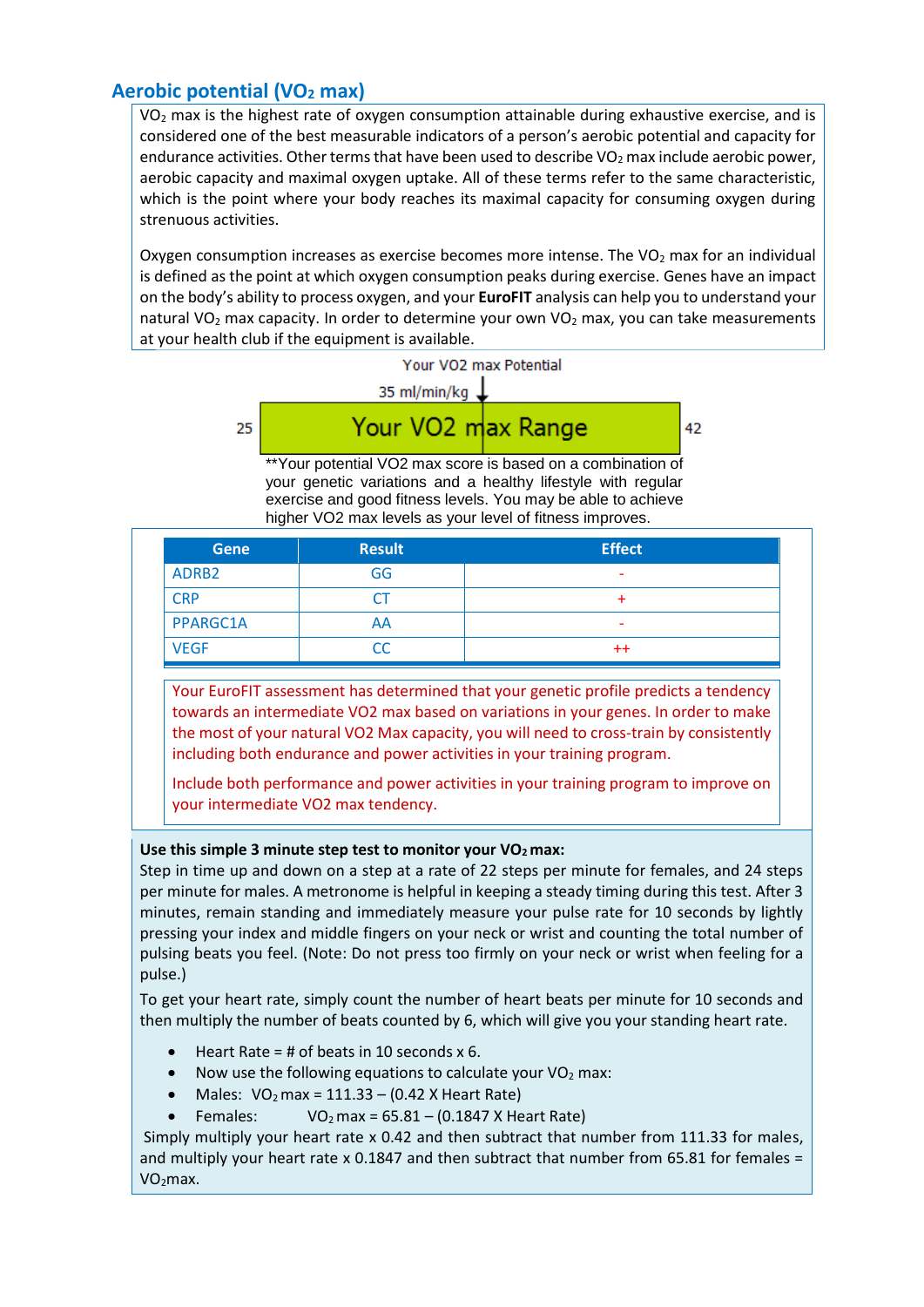# **Aerobic potential (VO<sup>2</sup> max)**

 $VO<sub>2</sub>$  max is the highest rate of oxygen consumption attainable during exhaustive exercise, and is considered one of the best measurable indicators of a person's aerobic potential and capacity for endurance activities. Other terms that have been used to describe VO<sub>2</sub> max include aerobic power, aerobic capacity and maximal oxygen uptake. All of these terms refer to the same characteristic, which is the point where your body reaches its maximal capacity for consuming oxygen during strenuous activities.

Oxygen consumption increases as exercise becomes more intense. The  $VO<sub>2</sub>$  max for an individual is defined as the point at which oxygen consumption peaks during exercise. Genes have an impact on the body's ability to process oxygen, and your **EuroFIT** analysis can help you to understand your natural VO<sub>2</sub> max capacity. In order to determine your own VO<sub>2</sub> max, you can take measurements at your health club if the equipment is available.



42

\*\*Your potential VO2 max score is based on a combination of your genetic variations and a healthy lifestyle with regular exercise and good fitness levels. You may be able to achieve higher VO2 max levels as your level of fitness improves.

| <b>Gene</b>       | <b>Result</b> | <b>Effect</b>            |
|-------------------|---------------|--------------------------|
| ADRB <sub>2</sub> | GG            | $\overline{\phantom{a}}$ |
| <b>CRP</b>        | LΙ            |                          |
| PPARGC1A          | AA            | $\overline{\phantom{a}}$ |
| <b>VEGF</b>       | CC            | $^{\mathrm{+}}$          |

Your EuroFIT assessment has determined that your genetic profile predicts a tendency towards an intermediate VO2 max based on variations in your genes. In order to make the most of your natural VO2 Max capacity, you will need to cross-train by consistently including both endurance and power activities in your training program.

Include both performance and power activities in your training program to improve on your intermediate VO2 max tendency.

#### **Use this simple 3 minute step test to monitor your VO2 max:**

Step in time up and down on a step at a rate of 22 steps per minute for females, and 24 steps per minute for males. A metronome is helpful in keeping a steady timing during this test. After 3 minutes, remain standing and immediately measure your pulse rate for 10 seconds by lightly pressing your index and middle fingers on your neck or wrist and counting the total number of pulsing beats you feel. (Note: Do not press too firmly on your neck or wrist when feeling for a pulse.)

To get your heart rate, simply count the number of heart beats per minute for 10 seconds and then multiply the number of beats counted by 6, which will give you your standing heart rate.

- Heart Rate =  $\#$  of beats in 10 seconds x 6.
- Now use the following equations to calculate your  $VO<sub>2</sub>$  max:
- Males:  $VO<sub>2</sub> max = 111.33 (0.42 X Heart Rate)$
- Females:  $VO<sub>2</sub> max = 65.81 (0.1847 X Heat Rate)$

Simply multiply your heart rate x 0.42 and then subtract that number from 111.33 for males, and multiply your heart rate x 0.1847 and then subtract that number from 65.81 for females = VO2max.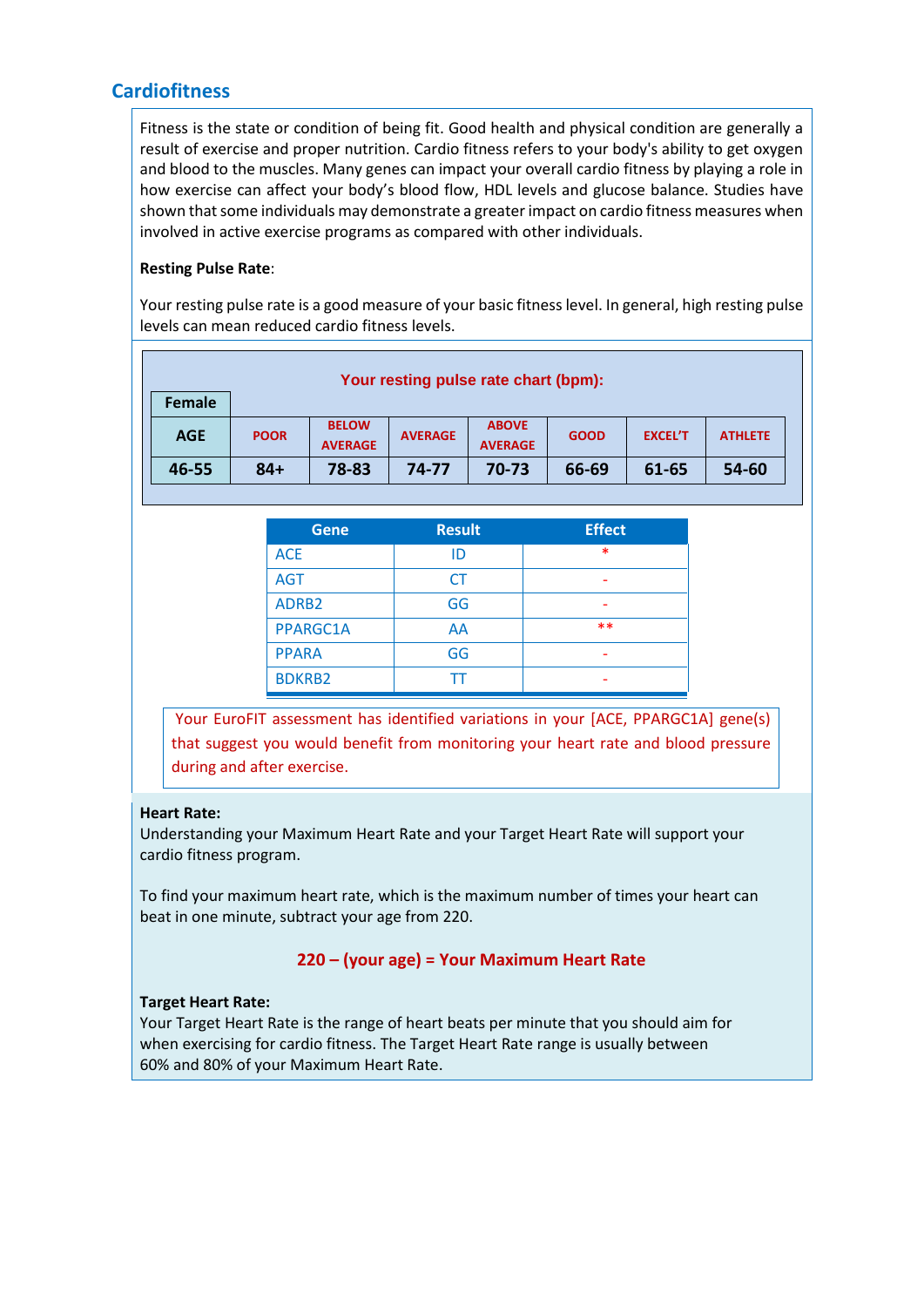# **Cardiofitness**

Fitness is the state or condition of being fit. Good health and physical condition are generally a result of exercise and proper nutrition. Cardio fitness refers to your body's ability to get oxygen and blood to the muscles. Many genes can impact your overall cardio fitness by playing a role in how exercise can affect your body's blood flow, HDL levels and glucose balance. Studies have shown that some individuals may demonstrate a greater impact on cardio fitness measures when involved in active exercise programs as compared with other individuals.

#### **Resting Pulse Rate**:

Your resting pulse rate is a good measure of your basic fitness level. In general, high resting pulse levels can mean reduced cardio fitness levels.

| Your resting pulse rate chart (bpm): |             |                                |                |                                |             |                |                |
|--------------------------------------|-------------|--------------------------------|----------------|--------------------------------|-------------|----------------|----------------|
| Female                               |             |                                |                |                                |             |                |                |
| <b>AGE</b>                           | <b>POOR</b> | <b>BELOW</b><br><b>AVERAGE</b> | <b>AVERAGE</b> | <b>ABOVE</b><br><b>AVERAGE</b> | <b>GOOD</b> | <b>EXCEL'T</b> | <b>ATHLETE</b> |
| 46-55                                | $84+$       | 78-83                          | 74-77          | 70-73                          | 66-69       | 61-65          | 54-60          |
|                                      |             |                                |                |                                |             |                |                |

| <b>Gene</b>   | <b>Result</b> | <b>Effect</b> |
|---------------|---------------|---------------|
| <b>ACE</b>    | ID            | ∗             |
| <b>AGT</b>    | CT            |               |
| ADRB2         | GG            |               |
| PPARGC1A      | AA            | $**$          |
| <b>PPARA</b>  | GG            |               |
| <b>BDKRB2</b> |               |               |

Your EuroFIT assessment has identified variations in your [ACE, PPARGC1A] gene(s) that suggest you would benefit from monitoring your heart rate and blood pressure during and after exercise.

#### **Heart Rate:**

Understanding your Maximum Heart Rate and your Target Heart Rate will support your cardio fitness program.

To find your maximum heart rate, which is the maximum number of times your heart can beat in one minute, subtract your age from 220.

#### **220 – (your age) = Your Maximum Heart Rate**

#### **Target Heart Rate:**

Your Target Heart Rate is the range of heart beats per minute that you should aim for when exercising for cardio fitness. The Target Heart Rate range is usually between 60% and 80% of your Maximum Heart Rate.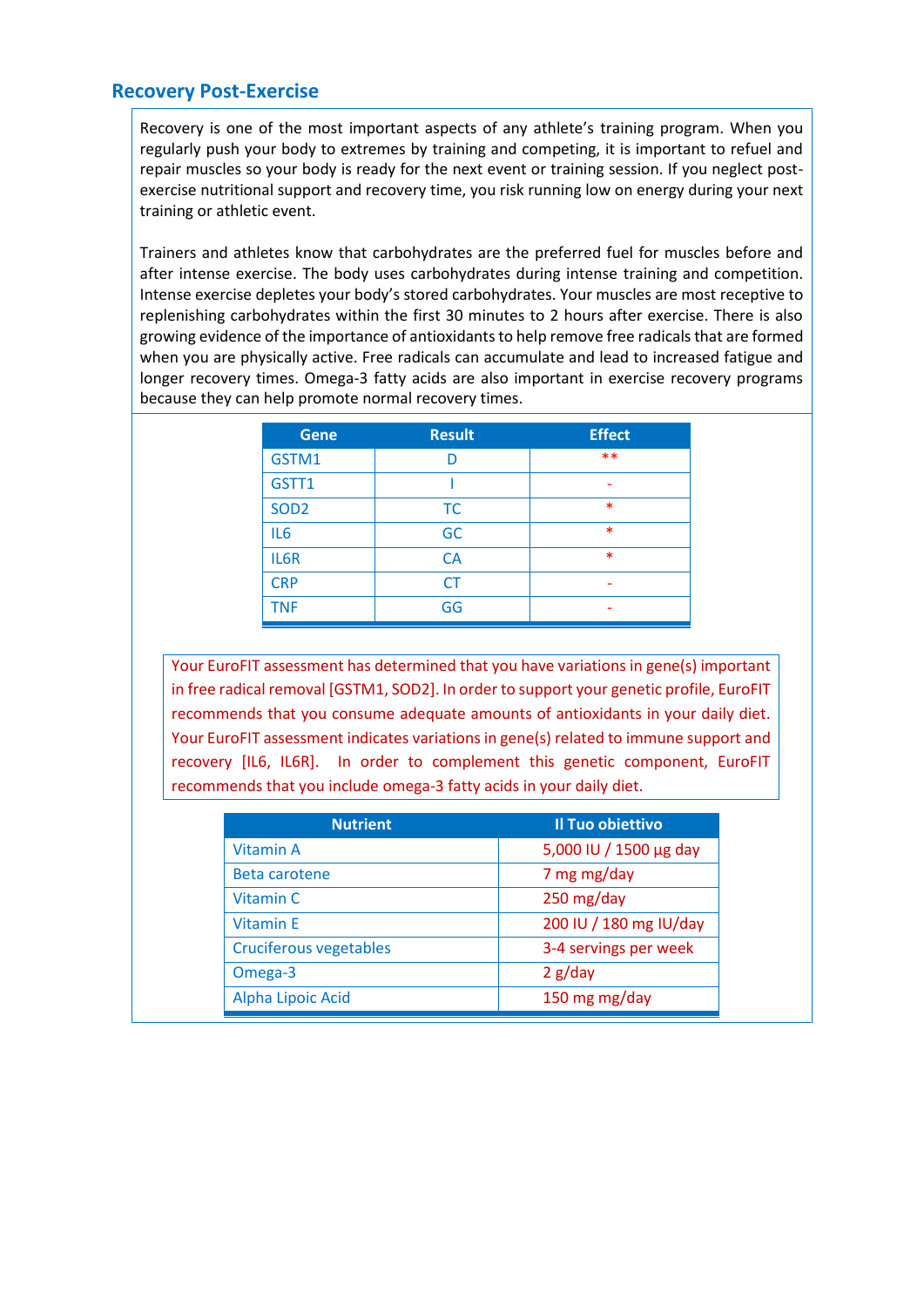# **Recovery Post-Exercise**

Recovery is one of the most important aspects of any athlete's training program. When you regularly push your body to extremes by training and competing, it is important to refuel and repair muscles so your body is ready for the next event or training session. If you neglect postexercise nutritional support and recovery time, you risk running low on energy during your next training or athletic event.

Trainers and athletes know that carbohydrates are the preferred fuel for muscles before and after intense exercise. The body uses carbohydrates during intense training and competition. Intense exercise depletes your body's stored carbohydrates. Your muscles are most receptive to replenishing carbohydrates within the first 30 minutes to 2 hours after exercise. There is also growing evidence of the importance of antioxidants to help remove free radicals that are formed when you are physically active. Free radicals can accumulate and lead to increased fatigue and longer recovery times. Omega-3 fatty acids are also important in exercise recovery programs because they can help promote normal recovery times.

| <b>Gene</b>      | <b>Result</b> | <b>Effect</b> |
|------------------|---------------|---------------|
| GSTM1            | n             | $***$         |
| GSTT1            |               |               |
| SOD <sub>2</sub> | <b>TC</b>     | $\ast$        |
| IL <sub>6</sub>  | GC            | $\ast$        |
| IL6R             | <b>CA</b>     | $\ast$        |
| <b>CRP</b>       | CT            |               |
| <b>TNF</b>       | GG            | ۰             |

Your EuroFIT assessment has determined that you have variations in gene(s) important in free radical removal [GSTM1, SOD2]. In order to support your genetic profile, EuroFIT recommends that you consume adequate amounts of antioxidants in your daily diet. Your EuroFIT assessment indicates variations in gene(s) related to immune support and recovery [IL6, IL6R]. In order to complement this genetic component, EuroFIT recommends that you include omega-3 fatty acids in your daily diet.

| <b>Nutrient</b>               | Il Tuo obiettivo       |
|-------------------------------|------------------------|
| Vitamin A                     | 5,000 IU / 1500 µg day |
| Beta carotene                 | 7 mg mg/day            |
| Vitamin C                     | 250 mg/day             |
| <b>Vitamin E</b>              | 200 IU / 180 mg IU/day |
| <b>Cruciferous vegetables</b> | 3-4 servings per week  |
| Omega-3                       | 2 g/day                |
| Alpha Lipoic Acid             | 150 mg mg/day          |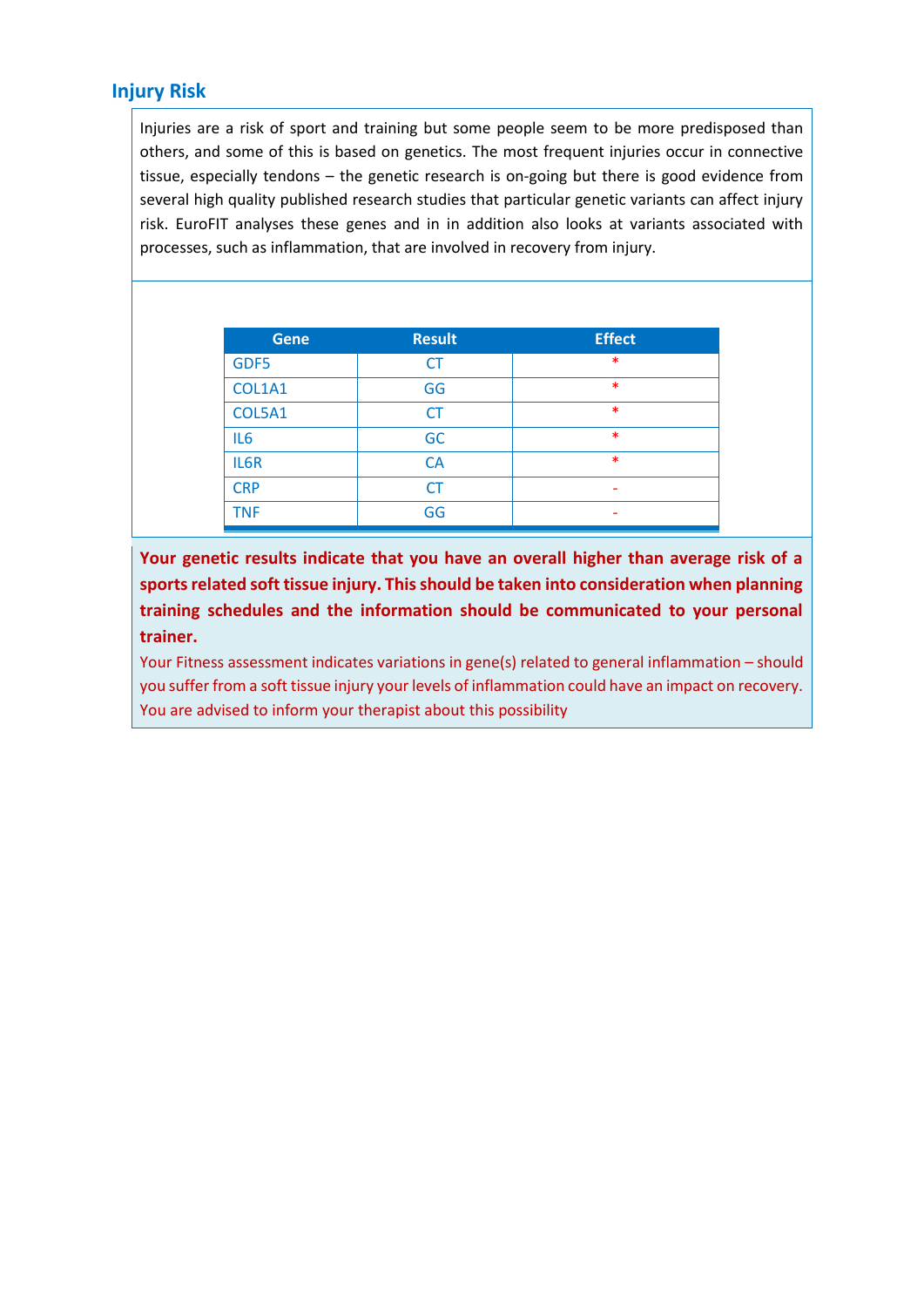# **Injury Risk**

Injuries are a risk of sport and training but some people seem to be more predisposed than others, and some of this is based on genetics. The most frequent injuries occur in connective tissue, especially tendons – the genetic research is on-going but there is good evidence from several high quality published research studies that particular genetic variants can affect injury risk. EuroFIT analyses these genes and in in addition also looks at variants associated with processes, such as inflammation, that are involved in recovery from injury.

| <b>Gene</b>     | <b>Result</b> | <b>Effect</b> |
|-----------------|---------------|---------------|
| GDF5            | <b>CT</b>     | $\ast$        |
| COL1A1          | GG            | $\ast$        |
| COL5A1          | <b>CT</b>     | $\ast$        |
| IL <sub>6</sub> | GC            | $\ast$        |
| IL6R            | <b>CA</b>     | $\ast$        |
| <b>CRP</b>      | <b>CT</b>     | ۰             |
| <b>TNF</b>      | GG            |               |

**Your genetic results indicate that you have an overall higher than average risk of a sports related soft tissue injury. This should be taken into consideration when planning training schedules and the information should be communicated to your personal trainer.**

Your Fitness assessment indicates variations in gene(s) related to general inflammation – should you suffer from a soft tissue injury your levels of inflammation could have an impact on recovery. You are advised to inform your therapist about this possibility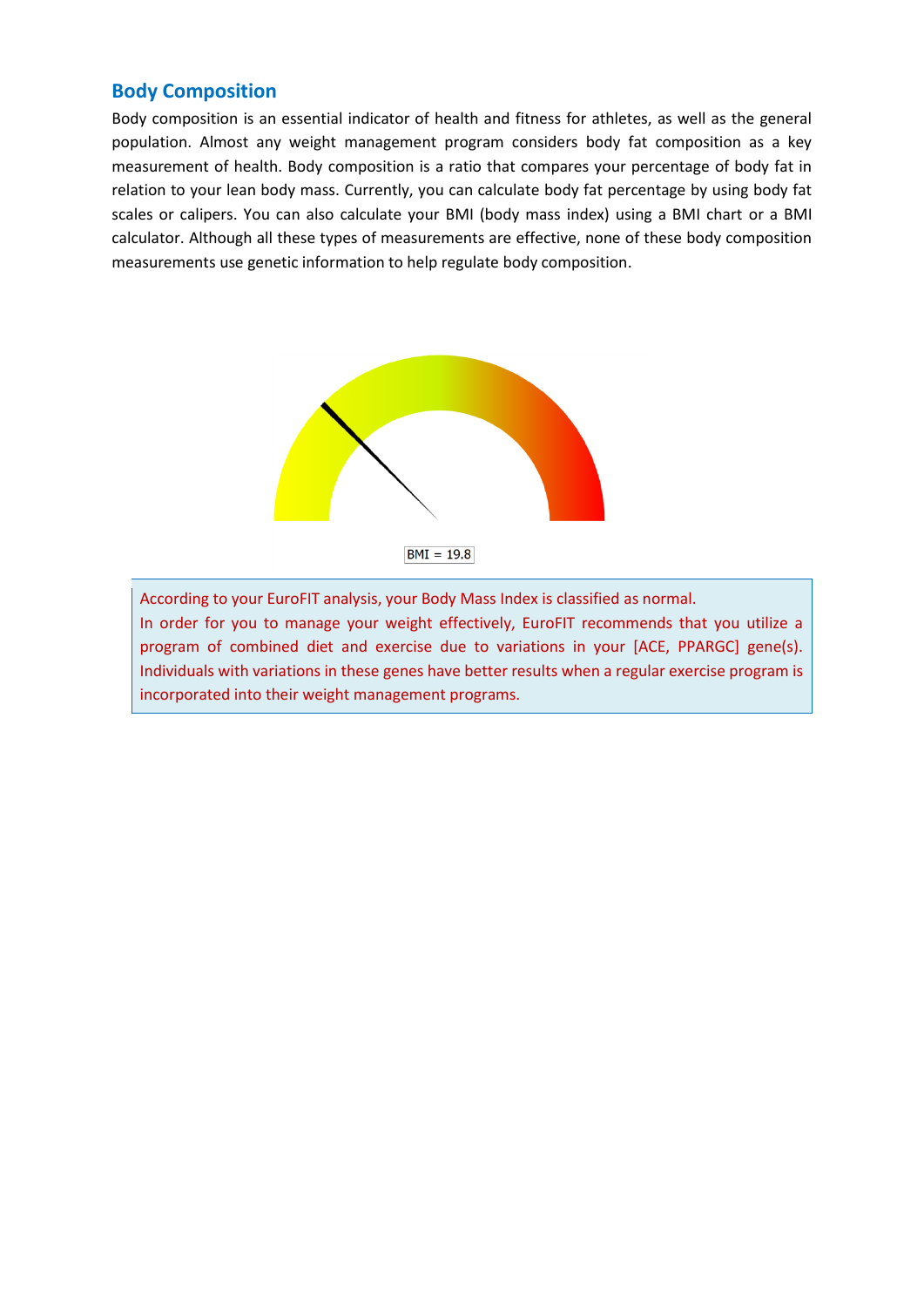# **Body Composition**

Body composition is an essential indicator of health and fitness for athletes, as well as the general population. Almost any weight management program considers body fat composition as a key measurement of health. Body composition is a ratio that compares your percentage of body fat in relation to your lean body mass. Currently, you can calculate body fat percentage by using body fat scales or calipers. You can also calculate your BMI (body mass index) using a BMI chart or a BMI calculator. Although all these types of measurements are effective, none of these body composition measurements use genetic information to help regulate body composition.



According to your EuroFIT analysis, your Body Mass Index is classified as normal. In order for you to manage your weight effectively, EuroFIT recommends that you utilize a program of combined diet and exercise due to variations in your [ACE, PPARGC] gene(s). Individuals with variations in these genes have better results when a regular exercise program is incorporated into their weight management programs.